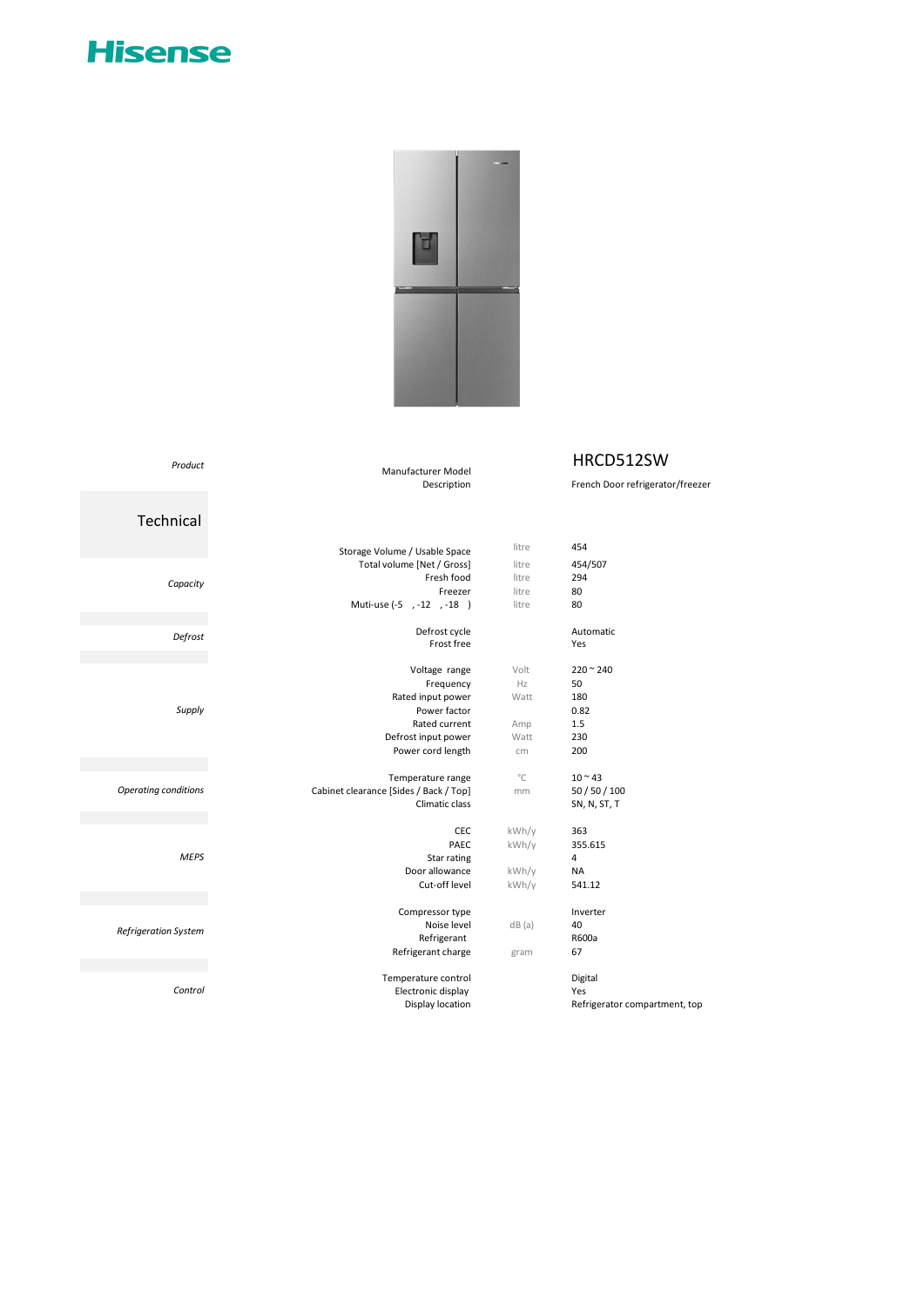



## HRCD512SW

French Door refrigerator/freezer

Manufacturer Model

## *Product*

## Technical

|                             | Storage Volume / Usable Space          | litre        | 454                           |
|-----------------------------|----------------------------------------|--------------|-------------------------------|
| Capacity                    | Total volume [Net / Gross]             | litre        | 454/507                       |
|                             | Fresh food                             | litre        | 294                           |
|                             | Freezer                                | litre        | 80                            |
|                             | Muti-use (-5, -12, -18)                | litre        | 80                            |
| Defrost                     | Defrost cycle                          |              | Automatic                     |
|                             | Frost free                             |              | Yes                           |
| Supply                      | Voltage range                          | Volt         | $220 - 240$                   |
|                             | Frequency                              | Hz           | 50                            |
|                             | Rated input power                      | Watt         | 180                           |
|                             | Power factor                           |              | 0.82                          |
|                             | Rated current                          | Amp          | 1.5                           |
|                             | Defrost input power                    | Watt         | 230                           |
|                             | Power cord length                      | cm           | 200                           |
|                             | Temperature range                      | $^{\circ}$ C | $10 - 43$                     |
| <b>Operating conditions</b> | Cabinet clearance [Sides / Back / Top] | mm           | 50 / 50 / 100                 |
|                             | Climatic class                         |              | SN, N, ST, T                  |
| <b>MEPS</b>                 | <b>CEC</b>                             | kWh/y        | 363                           |
|                             | PAEC                                   | kWh/y        | 355.615                       |
|                             | Star rating                            |              | 4                             |
|                             | Door allowance                         | kWh/y        | <b>NA</b>                     |
|                             | Cut-off level                          | kWh/y        | 541.12                        |
|                             | Compressor type                        |              | Inverter                      |
| Refrigeration System        | Noise level                            | dB(a)        | 40                            |
|                             | Refrigerant                            |              | R600a                         |
|                             | Refrigerant charge                     | gram         | 67                            |
| Control                     | Temperature control                    |              | Digital                       |
|                             | Electronic display                     |              | Yes                           |
|                             | Display location                       |              | Refrigerator compartment, top |